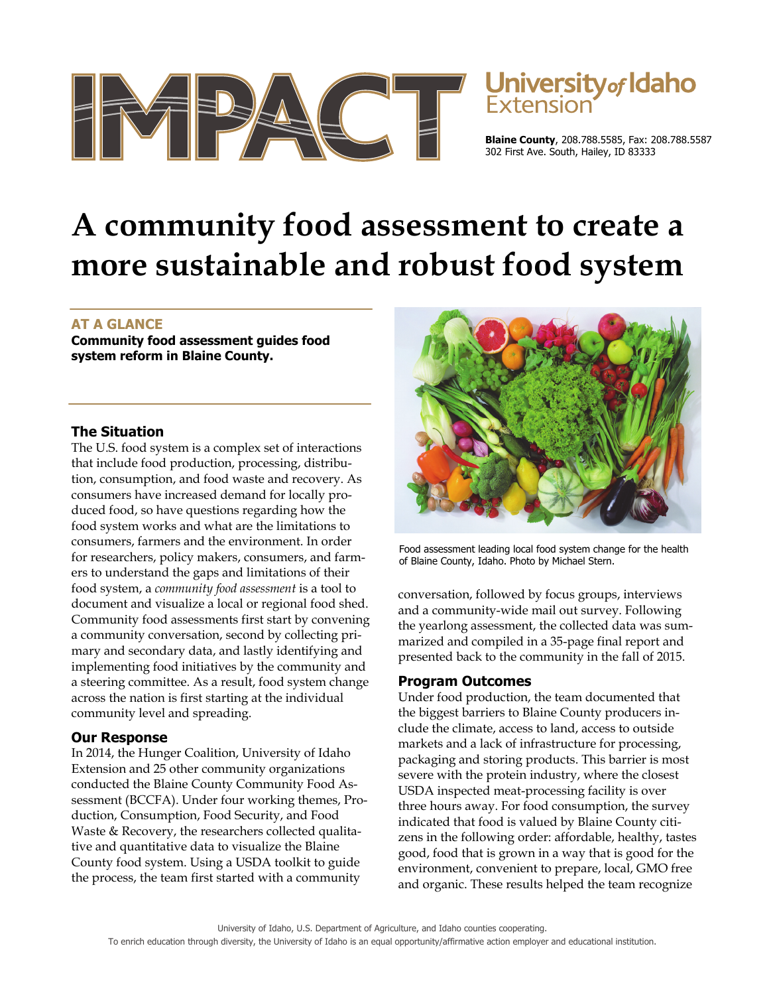

# University of Idaho

**Blaine County**, 208.788.5585, Fax: 208.788.5587 302 First Ave. South, Hailey, ID 83333

## **A community food assessment to create a more sustainable and robust food system**

### **AT A GLANCE**

**Community food assessment guides food system reform in Blaine County.** 

#### **The Situation**

The U.S. food system is a complex set of interactions that include food production, processing, distribution, consumption, and food waste and recovery. As consumers have increased demand for locally produced food, so have questions regarding how the food system works and what are the limitations to consumers, farmers and the environment. In order for researchers, policy makers, consumers, and farmers to understand the gaps and limitations of their food system, a *community food assessment* is a tool to document and visualize a local or regional food shed. Community food assessments first start by convening a community conversation, second by collecting primary and secondary data, and lastly identifying and implementing food initiatives by the community and a steering committee. As a result, food system change across the nation is first starting at the individual community level and spreading.

### **Our Response**

In 2014, the Hunger Coalition, University of Idaho Extension and 25 other community organizations conducted the Blaine County Community Food Assessment (BCCFA). Under four working themes, Production, Consumption, Food Security, and Food Waste & Recovery, the researchers collected qualitative and quantitative data to visualize the Blaine County food system. Using a USDA toolkit to guide the process, the team first started with a community



Food assessment leading local food system change for the health of Blaine County, Idaho. Photo by Michael Stern.

conversation, followed by focus groups, interviews and a community-wide mail out survey. Following the yearlong assessment, the collected data was summarized and compiled in a 35-page final report and presented back to the community in the fall of 2015.

#### **Program Outcomes**

Under food production, the team documented that the biggest barriers to Blaine County producers include the climate, access to land, access to outside markets and a lack of infrastructure for processing, packaging and storing products. This barrier is most severe with the protein industry, where the closest USDA inspected meat-processing facility is over three hours away. For food consumption, the survey indicated that food is valued by Blaine County citizens in the following order: affordable, healthy, tastes good, food that is grown in a way that is good for the environment, convenient to prepare, local, GMO free and organic. These results helped the team recognize